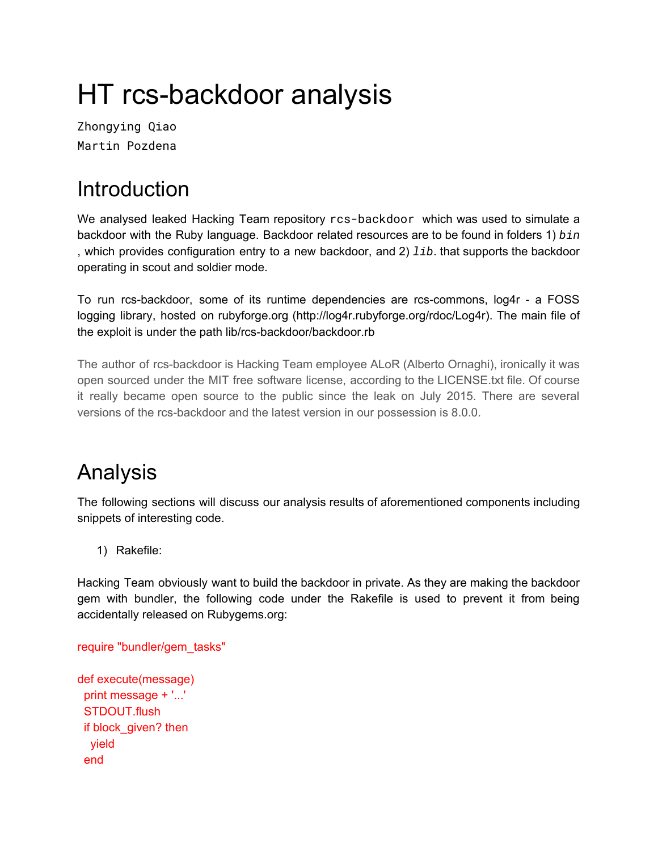# HT rcs-backdoor analysis

Zhongying Qiao Martin Pozdena

## **Introduction**

We analysed leaked Hacking Team repository rcs-backdoor which was used to simulate a backdoor with the Ruby language. Backdoor related resources are to be found in folders 1) *bin* , which provides configuration entry to a new backdoor, and 2) *lib*. that supports the backdoor operating in scout and soldier mode.

To run rcs-backdoor, some of its runtime dependencies are rcs-commons, log4r - a FOSS logging library, hosted on rubyforge.org (http://log4r.rubyforge.org/rdoc/Log4r). The main file of the exploit is under the path lib/rcs-backdoor/backdoor.rb

The author of rcs-backdoor is Hacking Team employee ALoR (Alberto Ornaghi), ironically it was open sourced under the MIT free software license, according to the LICENSE.txt file. Of course it really became open source to the public since the leak on July 2015. There are several versions of the rcs-backdoor and the latest version in our possession is 8.0.0.

### Analysis

The following sections will discuss our analysis results of aforementioned components including snippets of interesting code.

1) Rakefile:

Hacking Team obviously want to build the backdoor in private. As they are making the backdoor gem with bundler, the following code under the Rakefile is used to prevent it from being accidentally released on Rubygems.org:

require "bundler/gem\_tasks"

```
def execute(message)
 print message + '...'
 STDOUT.flush
 if block_given? then
  yield
 end
```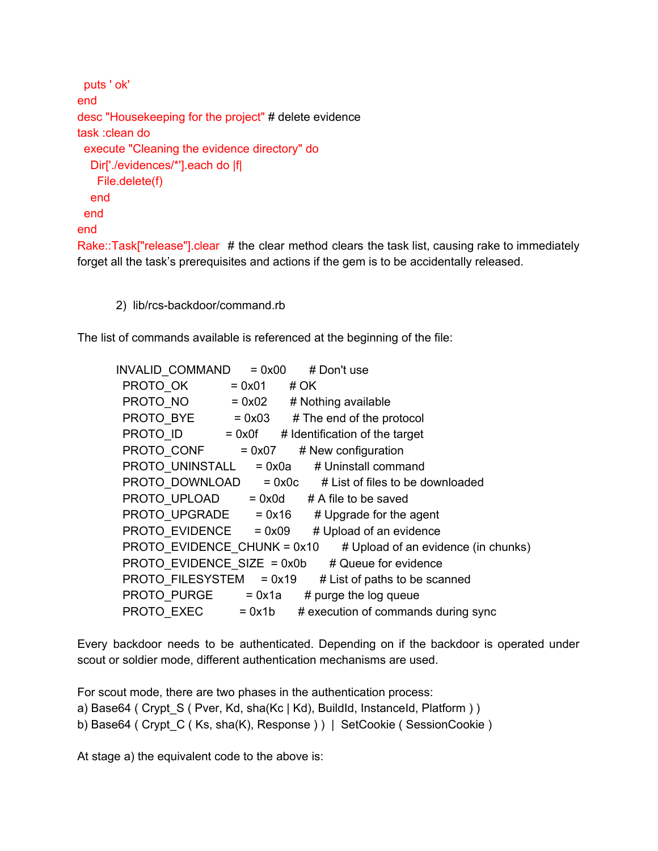```
puts ' ok'
end
desc "Housekeeping for the project" # delete evidence
task :clean do
 execute "Cleaning the evidence directory" do
  Dir['./evidences/*'].each do |f|
   File.delete(f)
  end
 end
end
Rake::Task["release"].clear # the clear method clears the task list, causing rake to immediately
```
forget all the task's prerequisites and actions if the gem is to be accidentally released.

2) lib/rcs-backdoor/command.rb

The list of commands available is referenced at the beginning of the file:

| $= 0x00$<br># Don't use                                            |
|--------------------------------------------------------------------|
| $= 0x01$<br># OK                                                   |
| $= 0x02$<br># Nothing available                                    |
| $PROTO$ BYE $= 0x03$<br># The end of the protocol                  |
| <b>PROTO ID</b> $= 0x0f$ # Identification of the target            |
| $PROTO$ CONF = 0x07<br># New configuration                         |
| PROTO UNINSTALL = 0x0a # Uninstall command                         |
| PROTO_DOWNLOAD = 0x0c # List of files to be downloaded             |
| PROTO UPLOAD = $0x0d$ # A file to be saved                         |
| $PROTO UPGRADE = 0x16$<br># Upgrade for the agent                  |
| $PROTO$ EVIDENCE = 0x09<br># Upload of an evidence                 |
| PROTO EVIDENCE_CHUNK = 0x10<br># Upload of an evidence (in chunks) |
| PROTO EVIDENCE SIZE = 0x0b<br># Queue for evidence                 |
| PROTO FILESYSTEM = 0x19<br># List of paths to be scanned           |
| $PROTO$ PURGE $= 0x1a$<br># purge the log queue                    |
| $PROTO$ $EXEC$ = 0x1b<br># execution of commands during sync       |
|                                                                    |

Every backdoor needs to be authenticated. Depending on if the backdoor is operated under scout or soldier mode, different authentication mechanisms are used.

For scout mode, there are two phases in the authentication process:

a) Base64 ( Crypt\_S ( Pver, Kd, sha(Kc | Kd), BuildId, InstanceId, Platform ) )

b) Base64 ( Crypt\_C ( Ks, sha(K), Response ) ) | SetCookie ( SessionCookie )

At stage a) the equivalent code to the above is: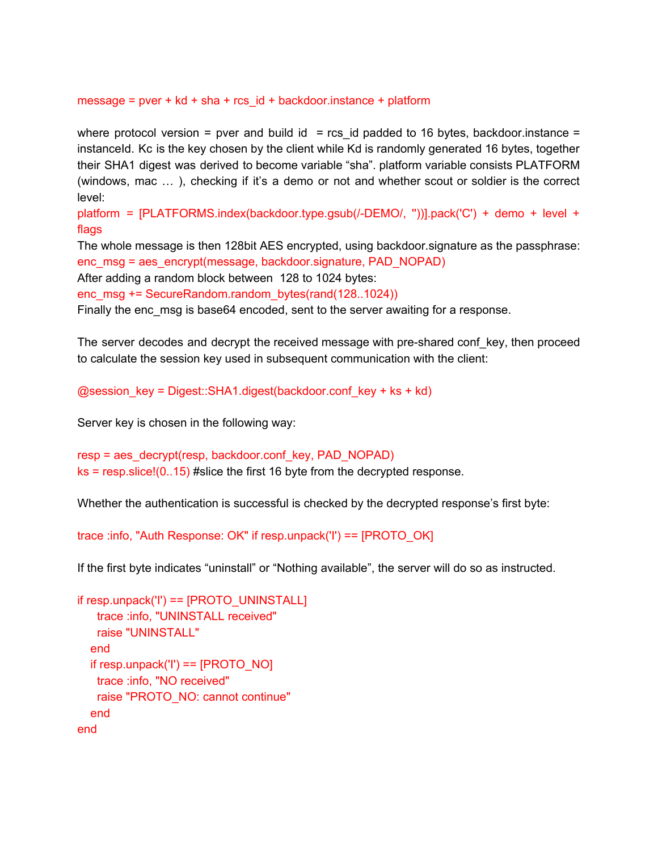#### message =  $pver + kd + sha + rcs$  id + backdoor.instance + platform

where protocol version = pver and build id = rcs id padded to 16 bytes, backdoor.instance = instanceId. Kc is the key chosen by the client while Kd is randomly generated 16 bytes, together their SHA1 digest was derived to become variable "sha". platform variable consists PLATFORM (windows, mac … ), checking if it's a demo or not and whether scout or soldier is the correct level:

platform = [PLATFORMS.index(backdoor.type.gsub(/-DEMO/, "))].pack('C') + demo + level + flags

The whole message is then 128bit AES encrypted, using backdoor.signature as the passphrase: enc\_msg = aes\_encrypt(message, backdoor.signature, PAD\_NOPAD)

After adding a random block between 128 to 1024 bytes:

enc\_msg += SecureRandom.random\_bytes(rand(128..1024))

Finally the enc msg is base64 encoded, sent to the server awaiting for a response.

The server decodes and decrypt the received message with pre-shared conf key, then proceed to calculate the session key used in subsequent communication with the client:

 $@s$ ession\_key = Digest::SHA1.digest(backdoor.conf\_key + ks + kd)

Server key is chosen in the following way:

```
resp = aes_decrypt(resp, backdoor.conf_key, PAD_NOPAD)
ks = resp.size!(0..15) #slice the first 16 byte from the decrypted response.
```
Whether the authentication is successful is checked by the decrypted response's first byte:

trace :info, "Auth Response: OK" if resp.unpack('I') == [PROTO\_OK]

If the first byte indicates "uninstall" or "Nothing available", the server will do so as instructed.

```
if resp.unpack('I') == [PROTO_UNINSTALL]
   trace :info, "UNINSTALL received"
   raise "UNINSTALL"
  end
  if resp.unpack('I') == [PROTONO]trace :info, "NO received"
   raise "PROTO_NO: cannot continue"
  end
end
```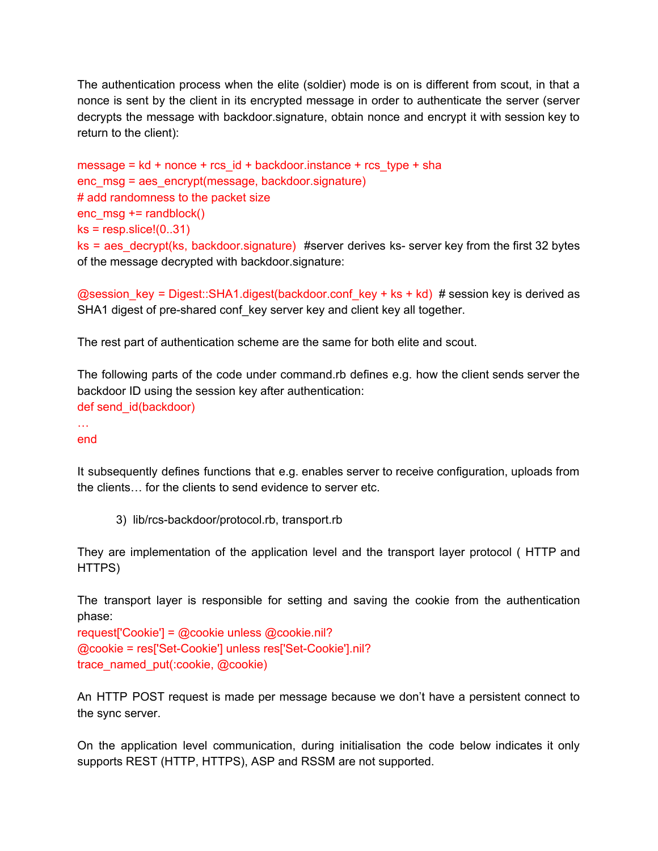The authentication process when the elite (soldier) mode is on is different from scout, in that a nonce is sent by the client in its encrypted message in order to authenticate the server (server decrypts the message with backdoor.signature, obtain nonce and encrypt it with session key to return to the client):

```
message = kd + nonce + rcs_id + backdoor.instance + rcs_type + sha
enc_msg = aes_encrypt(message, backdoor.signature)
# add randomness to the packet size
enc msg += randblock()
ks = resp.slice!(0..31)ks = aes decrypt(ks, backdoor.signature) #server derives ks- server key from the first 32 bytes
of the message decrypted with backdoor.signature:
```
@session\_key = Digest::SHA1.digest(backdoor.conf\_key + ks + kd) # session key is derived as SHA1 digest of pre-shared conf key server key and client key all together.

The rest part of authentication scheme are the same for both elite and scout.

The following parts of the code under command.rb defines e.g. how the client sends server the backdoor ID using the session key after authentication: def send\_id(backdoor)

… end

It subsequently defines functions that e.g. enables server to receive configuration, uploads from the clients… for the clients to send evidence to server etc.

3) lib/rcs-backdoor/protocol.rb, transport.rb

They are implementation of the application level and the transport layer protocol ( HTTP and HTTPS)

The transport layer is responsible for setting and saving the cookie from the authentication phase:

request['Cookie'] = @cookie unless @cookie.nil? @cookie = res['Set-Cookie'] unless res['Set-Cookie'].nil? trace\_named\_put(:cookie, @cookie)

An HTTP POST request is made per message because we don't have a persistent connect to the sync server.

On the application level communication, during initialisation the code below indicates it only supports REST (HTTP, HTTPS), ASP and RSSM are not supported.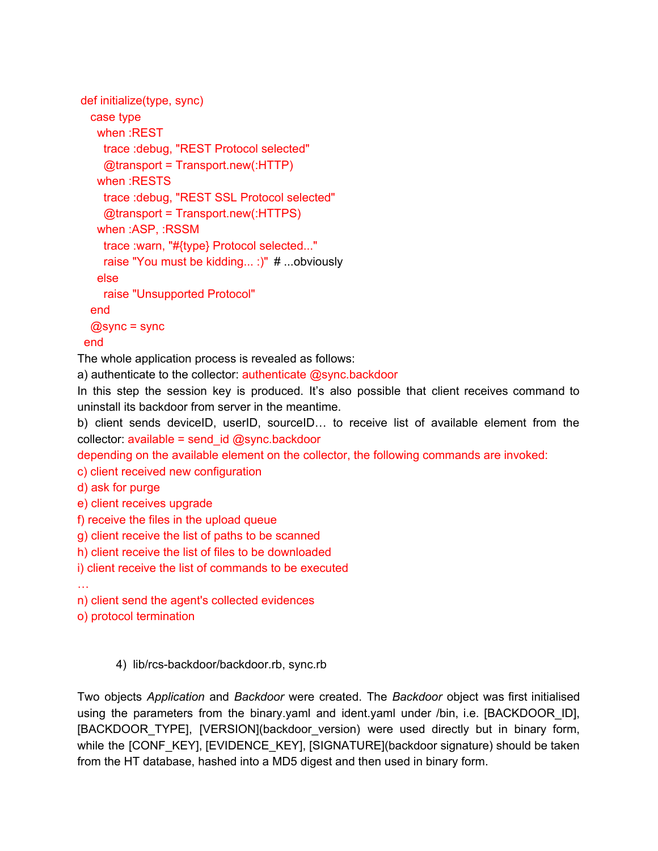```
def initialize(type, sync)
 case type
   when :REST
    trace :debug, "REST Protocol selected"
    @transport = Transport.new(:HTTP)
   when :RESTS
    trace :debug, "REST SSL Protocol selected"
    @transport = Transport.new(:HTTPS)
   when :ASP, :RSSM
    trace :warn, "#{type} Protocol selected..."
    raise "You must be kidding... :)" # ...obviously
   else
    raise "Unsupported Protocol"
 end
 @sync = sync
end
```
The whole application process is revealed as follows:

a) authenticate to the collector: authenticate @sync.backdoor

In this step the session key is produced. It's also possible that client receives command to uninstall its backdoor from server in the meantime.

b) client sends deviceID, userID, sourceID… to receive list of available element from the collector:  $available = send$  id  $@sync.backdoor$ 

depending on the available element on the collector, the following commands are invoked:

c) client received new configuration

d) ask for purge

e) client receives upgrade

f) receive the files in the upload queue

g) client receive the list of paths to be scanned

h) client receive the list of files to be downloaded

i) client receive the list of commands to be executed

…

n) client send the agent's collected evidences

o) protocol termination

4) lib/rcs-backdoor/backdoor.rb, sync.rb

Two objects *Application* and *Backdoor* were created. The *Backdoor* object was first initialised using the parameters from the binary.yaml and ident.yaml under /bin, i.e. [BACKDOOR\_ID], [BACKDOOR\_TYPE], [VERSION](backdoor\_version) were used directly but in binary form, while the [CONF\_KEY], [EVIDENCE\_KEY], [SIGNATURE](backdoor signature) should be taken from the HT database, hashed into a MD5 digest and then used in binary form.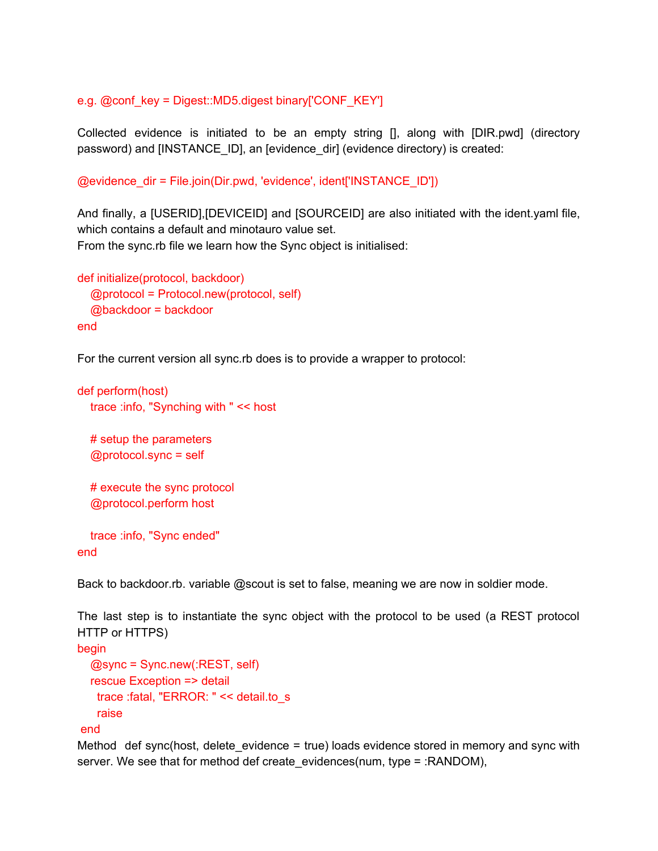#### e.g. @conf\_key = Digest::MD5.digest binary['CONF\_KEY']

Collected evidence is initiated to be an empty string [], along with [DIR.pwd] (directory password) and [INSTANCE\_ID], an [evidence\_dir] (evidence directory) is created:

@evidence\_dir = File.join(Dir.pwd, 'evidence', ident['INSTANCE\_ID'])

And finally, a [USERID],[DEVICEID] and [SOURCEID] are also initiated with the ident.yaml file, which contains a default and minotauro value set. From the sync.rb file we learn how the Sync object is initialised:

```
def initialize(protocol, backdoor)
  @protocol = Protocol.new(protocol, self)
  @backdoor = backdoor
end
```
For the current version all sync.rb does is to provide a wrapper to protocol:

```
def perform(host)
  trace :info, "Synching with " << host
  # setup the parameters
```
@protocol.sync = self

# execute the sync protocol @protocol.perform host

```
trace :info, "Sync ended"
end
```
Back to backdoor.rb. variable @scout is set to false, meaning we are now in soldier mode.

The last step is to instantiate the sync object with the protocol to be used (a REST protocol HTTP or HTTPS)

```
begin
  @sync = Sync.new(:REST, self)
  rescue Exception => detail
   trace :fatal, "ERROR: " << detail.to_s
   raise
```
#### end

Method def sync(host, delete evidence  $=$  true) loads evidence stored in memory and sync with server. We see that for method def create\_evidences(num, type = :RANDOM),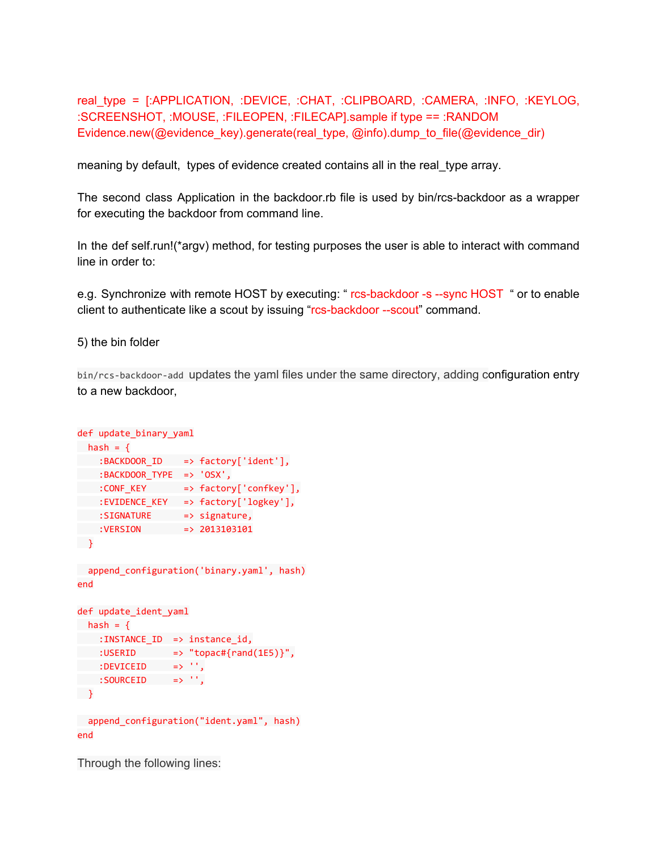real\_type = [:APPLICATION, :DEVICE, :CHAT, :CLIPBOARD, :CAMERA, :INFO, :KEYLOG, :SCREENSHOT, :MOUSE, :FILEOPEN, :FILECAP].sample if type == :RANDOM Evidence.new(@evidence\_key).generate(real\_type, @info).dump\_to\_file(@evidence\_dir)

meaning by default, types of evidence created contains all in the real\_type array.

The second class Application in the backdoor.rb file is used by bin/rcs-backdoor as a wrapper for executing the backdoor from command line.

In the def self.run!(\*argv) method, for testing purposes the user is able to interact with command line in order to:

e.g. Synchronize with remote HOST by executing: " rcs-backdoor -s --sync HOST " or to enable client to authenticate like a scout by issuing "rcs-backdoor --scout" command.

5) the bin folder

bin/rcs-backdoor-add updates the yaml files under the same directory, adding configuration entry to a new backdoor,

```
def update binary yaml
hash = { }:BACKDOOR_ID =>factory['ident'],
:BACKDOOR_TYPE =>'OSX',
:CONF_KEY =>factory['confkey'],
:EVIDENCE_KEY =>factory['logkey'],
:SIGNATURE => signature,
:VERSION =>2013103101
}
append_configuration('binary.yaml', hash)
end
def update_ident_yaml
hash = { }:INSTANCE_ID => instance_id,
:USERID \implies "topac#{rand(1E5)}",
:DEVICEID =>'',
:SOURCEID =>'',
\rightarrowappend_configuration("ident.yaml", hash)
end
```
Through the following lines: